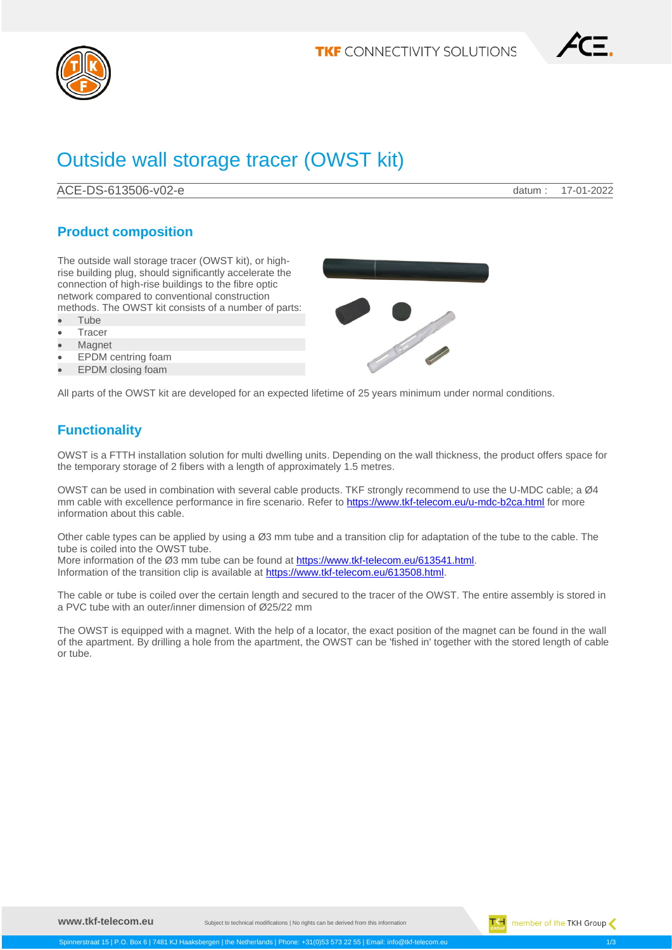

$$
\angle \text{CE}.
$$

# Outside wall storage tracer (OWST kit)

ACE-DS-613506-v02-e datum : 17-01-2022

## **Product composition**

The outside wall storage tracer (OWST kit), or highrise building plug, should significantly accelerate the connection of high-rise buildings to the fibre optic network compared to conventional construction methods. The OWST kit consists of a number of parts:

- Tube
- **Tracer**
- **Magnet**
- EPDM centring foam
- EPDM closing foam

All parts of the OWST kit are developed for an expected lifetime of 25 years minimum under normal conditions.

# **Functionality**

OWST is a FTTH installation solution for multi dwelling units. Depending on the wall thickness, the product offers space for the temporary storage of 2 fibers with a length of approximately 1.5 metres.

OWST can be used in combination with several cable products. TKF strongly recommend to use the U-MDC cable; a Ø4 mm cable with excellence performance in fire scenario. Refer to<https://www.tkf-telecom.eu/u-mdc-b2ca.html> for more information about this cable.

Other cable types can be applied by using a Ø3 mm tube and a transition clip for adaptation of the tube to the cable. The tube is coiled into the OWST tube.

More information of the Ø3 mm tube can be found a[t https://www.tkf-telecom.eu/613541.html.](https://www.tkf-telecom.eu/613541.html) Information of the transition clip is available a[t https://www.tkf-telecom.eu/613508.html.](https://www.tkf-telecom.eu/613508.html)

The cable or tube is coiled over the certain length and secured to the tracer of the OWST. The entire assembly is stored in a PVC tube with an outer/inner dimension of Ø25/22 mm

The OWST is equipped with a magnet. With the help of a locator, the exact position of the magnet can be found in the wall of the apartment. By drilling a hole from the apartment, the OWST can be 'fished in' together with the stored length of cable or tube.

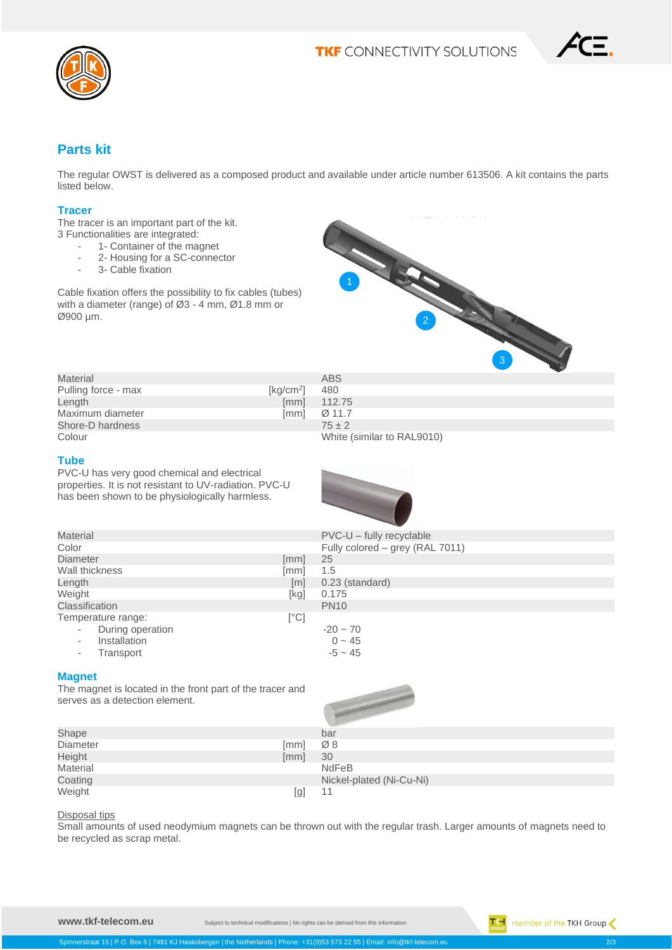

### **Parts kit**

The regular OWST is delivered as a composed product and available under article number 613506. A kit contains the parts listed below.

#### **Tracer**

The tracer is an important part of the kit. 3 Functionalities are integrated:

- 1- Container of the magnet
- 2- Housing for a SC-connector<br>- 3- Cable fixation
- 3- Cable fixation

Cable fixation offers the possibility to fix cables (tubes) with a diameter (range) of Ø3 - 4 mm, Ø1.8 mm or Ø900 µm.



| Material            |                       | ABS                        |
|---------------------|-----------------------|----------------------------|
| Pulling force - max | [kq/cm <sup>2</sup> ] | 480                        |
| Length              | [mm]                  | 112.75                     |
| Maximum diameter    | [mm]                  | Ø 11.7                     |
| Shore-D hardness    |                       | $75 \pm 2$                 |
| Colour              |                       | White (similar to RAL9010) |

#### **Tube**

PVC-U has very good chemical and electrical properties. It is not resistant to UV-radiation. PVC-U has been shown to be physiologically harmless.



| <b>Material</b>    |                   | $PVC-U - fully$ recyclable      |
|--------------------|-------------------|---------------------------------|
| Color              |                   | Fully colored - grey (RAL 7011) |
| Diameter           | [mm]              | 25                              |
| Wall thickness     | [mm]              | 1.5                             |
| Length             | $\lceil m \rceil$ | 0.23 (standard)                 |
| Weight             | [kg]              | 0.175                           |
| Classification     |                   | <b>PN10</b>                     |
| Temperature range: | [°C]              |                                 |
| During operation   |                   | $-20 \sim 70$                   |
| Installation       |                   | $0 - 45$                        |
| Transport          |                   | $-5 \sim 45$                    |
|                    |                   |                                 |

#### **Magnet**

The magnet is located in the front part of the tracer and serves as a detection element.

Spinnerstraat 15 | P.O. Box 6 | 7481 KJ Haaksbergen | the Netherlands | Phone: +



| Shape    |      | bar                      |
|----------|------|--------------------------|
| Diameter | [mm] | Ø8                       |
| Height   | [mm] | 30                       |
| Material |      | <b>NdFeB</b>             |
| Coating  |      | Nickel-plated (Ni-Cu-Ni) |
| Weight   | [g]  | 11                       |

#### Disposal tips

Small amounts of used neodymium magnets can be thrown out with the regular trash. Larger amounts of magnets need to be recycled as scrap metal.